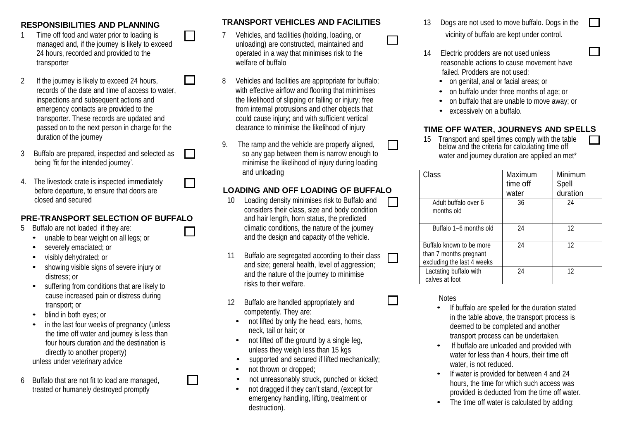1 Time off food and water prior to loading is managed and, if the journey is likely to exceed  $\overline{\phantom{0}}$ 

 $\sim$ 

- 2 If the journey is likely to exceed 24 hours, records of the date and time of access to water, inspections and subsequent actions and emergency contacts are provided to the
- 3 Buffalo are prepared, inspected and selected as being 'fit for the intended journey'.
- 4. The livestock crate is inspected immediately before departure, to ensure that doors are closed and secured

#### **PRE-TRANSPORT SELECTION OF BUFFALO**

- 5 Buffalo are not loaded if they are:
	- unable to bear weight on all legs; or
	- severely emaciated; or
	- visibly dehydrated; or
	- showing visible signs of severe injury or distress; or
	- suffering from conditions that are likely to cause increased pain or distress during transport; or
	- blind in both eyes; or
	- in the last four weeks of pregnancy (unless the time off water and journey is less than four hours duration and the destination is directly to another property) unless under veterinary advice
- 6 Buffalo that are not fit to load are managed, treated or humanely destroyed promptly

**RESPONSIBILITIES AND PLANNING TRANSPORT VEHICLES AND FACILITIES** <sup>13</sup> Dogs are not used to move buffalo. Dogs in the

П

- 7 Vehicles, and facilities (holding, loading, or unloading) are constructed, maintained and 24 hours, recorded and provided to the operated in a way that minimises risk to the 14 Electric prodders are not used unless
- 8 Vehicles and facilities are appropriate for buffalo; with effective airflow and flooring that minimises the likelihood of slipping or falling or injury; free from internal protrusions and other objects that transporter. These records are updated and could cause injury; and with sufficient vertical
	- so any gap between them is narrow enough to minimise the likelihood of injury during loading and unloading

### **LOADING AND OFF LOADING OF BUFFALO**

- 10 Loading density minimises risk to Buffalo and considers their class, size and body condition and hair length, horn status, the predicted climatic conditions, the nature of the journey and the design and capacity of the vehicle.
- 11 Buffalo are segregated according to their class and size; general health, level of aggression; and the nature of the journey to minimise risks to their welfare.
- 12 Buffalo are handled appropriately and competently. They are:
	- not lifted by only the head, ears, horns, neck, tail or hair; or
	- not lifted off the ground by a single leg, unless they weigh less than 15 kgs
	- supported and secured if lifted mechanically;
	- not thrown or dropped:
	- not unreasonably struck, punched or kicked;
	- not dragged if they can't stand, (except for emergency handling, lifting, treatment or destruction).

vicinity of buffalo are kept under control.

 $\mathbf{L}$ 

 $\mathcal{L}_{\mathcal{A}}$ 

- transporter welfare of buffalo reasonable actions to cause movement have failed. Prodders are not used:
	- on genital, anal or facial areas; or
	- on buffalo under three months of age; or
	- on buffalo that are unable to move away; or
	- excessively on a buffalo.

## passed on to the next person in charge for the clearance to minimise the likelihood of injury **TIME OFF WATER, JOURNEYS AND SP ELLS**

duration of the journey<br>g. The ramp and the vehicle are properly aligned. The state of the spell times comply with the table<br>duration of the criteria for calculating time off below and the criteria for calculating time off water and journey duration are applied an met\*

| Class                                                                            | Maximum<br>time off<br>water | Minimum<br>Spell<br>duration |
|----------------------------------------------------------------------------------|------------------------------|------------------------------|
| Adult buffalo over 6<br>months old                                               | 36                           | 24                           |
| Buffalo 1-6 months old                                                           | 24                           | 12                           |
| Buffalo known to be more<br>than 7 months pregnant<br>excluding the last 4 weeks | 24                           | 12                           |
| Lactating buffalo with<br>calves at foot                                         | 24                           | 12                           |

Notes

- If buffalo are spelled for the duration stated in the table above, the transport process is deemed to be completed and another transport process can be undertaken.
- If buffalo are unloaded and provided with water for less than 4 hours, their time off water, is not reduced.
- If water is provided for between 4 and 24 hours, the time for which such access was provided is deducted from the time off water.
- The time off water is calculated by adding: